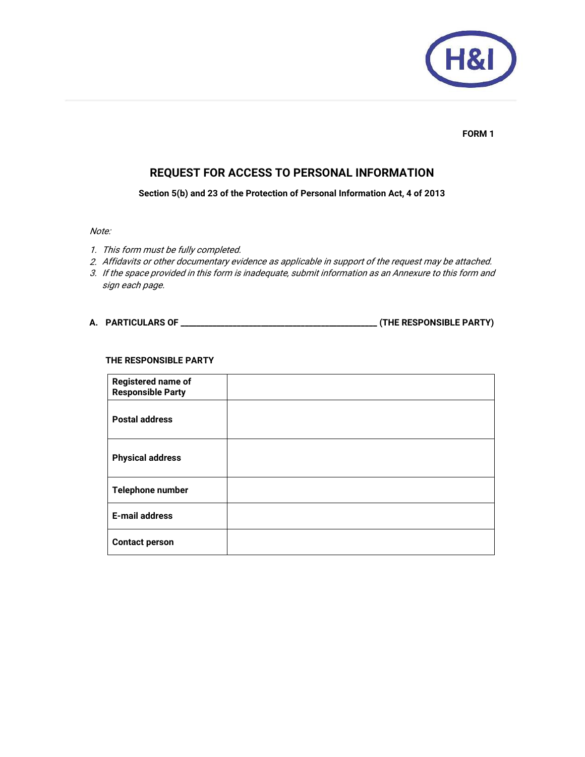

#### **FORM 1**

# **REQUEST FOR ACCESS TO PERSONAL INFORMATION**

**Section 5(b) and 23 of the Protection of Personal Information Act, 4 of 2013** 

# Note:

- 1. This form must be fully completed.
- 2. Affidavits or other documentary evidence as applicable in support of the request may be attached.
- 3. If the space provided in this form is inadequate, submit information as an Annexure to this form and sign each page.

### **A. PARTICULARS OF \_\_\_\_\_\_\_\_\_\_\_\_\_\_\_\_\_\_\_\_\_\_\_\_\_\_\_\_\_\_\_\_\_\_\_\_\_\_\_\_\_\_\_\_\_\_\_\_\_ (THE RESPONSIBLE PARTY)**

#### **THE RESPONSIBLE PARTY**

| <b>Registered name of</b><br><b>Responsible Party</b> |  |
|-------------------------------------------------------|--|
| <b>Postal address</b>                                 |  |
| <b>Physical address</b>                               |  |
| Telephone number                                      |  |
| <b>E-mail address</b>                                 |  |
| <b>Contact person</b>                                 |  |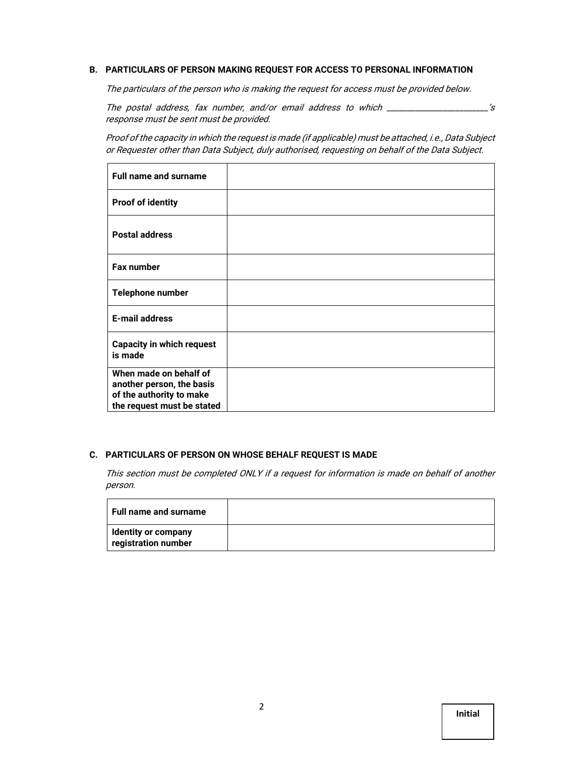# **B. PARTICULARS OF PERSON MAKING REQUEST FOR ACCESS TO PERSONAL INFORMATION**

The particulars of the person who is making the request for access must be provided below.

The postal address, fax number, and/or email address to which \_\_\_\_\_\_\_\_\_\_\_\_\_\_\_\_\_\_\_\_\_\_\_\_\_'s response must be sent must be provided.

Proof of the capacity in which the request is made (if applicable) must be attached, i.e., Data Subject or Requester other than Data Subject, duly authorised, requesting on behalf of the Data Subject.

| <b>Full name and surname</b>                                                                                  |  |
|---------------------------------------------------------------------------------------------------------------|--|
| <b>Proof of identity</b>                                                                                      |  |
| <b>Postal address</b>                                                                                         |  |
| <b>Fax number</b>                                                                                             |  |
| Telephone number                                                                                              |  |
| <b>E-mail address</b>                                                                                         |  |
| <b>Capacity in which request</b><br>is made                                                                   |  |
| When made on behalf of<br>another person, the basis<br>of the authority to make<br>the request must be stated |  |

#### **C. PARTICULARS OF PERSON ON WHOSE BEHALF REQUEST IS MADE**

This section must be completed ONLY if a request for information is made on behalf of another person.

| <b>Full name and surname</b>                      |  |
|---------------------------------------------------|--|
| <b>Identity or company</b><br>registration number |  |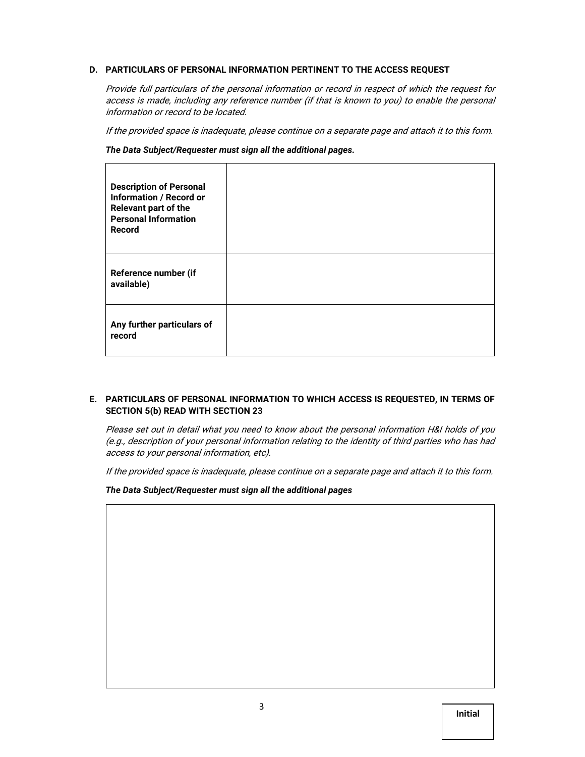### **D. PARTICULARS OF PERSONAL INFORMATION PERTINENT TO THE ACCESS REQUEST**

Provide full particulars of the personal information or record in respect of which the request for access is made, including any reference number (if that is known to you) to enable the personal information or record to be located.

If the provided space is inadequate, please continue on a separate page and attach it to this form.

*The Data Subject/Requester must sign all the additional pages.* 

| <b>Description of Personal</b><br><b>Information / Record or</b><br>Relevant part of the<br><b>Personal Information</b><br>Record |  |
|-----------------------------------------------------------------------------------------------------------------------------------|--|
| Reference number (if<br>available)                                                                                                |  |
| Any further particulars of<br>record                                                                                              |  |

### **E. PARTICULARS OF PERSONAL INFORMATION TO WHICH ACCESS IS REQUESTED, IN TERMS OF SECTION 5(b) READ WITH SECTION 23**

Please set out in detail what you need to know about the personal information H&I holds of you (e.g., description of your personal information relating to the identity of third parties who has had access to your personal information, etc).

If the provided space is inadequate, please continue on a separate page and attach it to this form.

*The Data Subject/Requester must sign all the additional pages*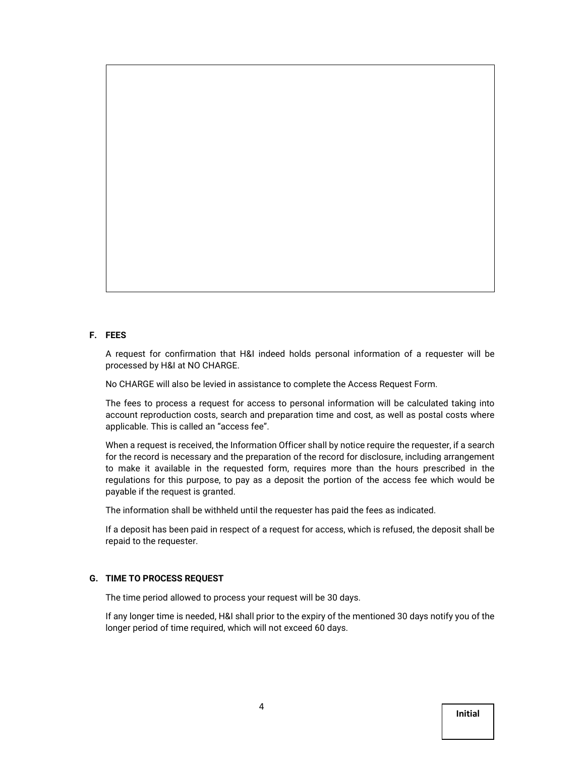#### **F. FEES**

A request for confirmation that H&I indeed holds personal information of a requester will be processed by H&I at NO CHARGE.

No CHARGE will also be levied in assistance to complete the Access Request Form.

The fees to process a request for access to personal information will be calculated taking into account reproduction costs, search and preparation time and cost, as well as postal costs where applicable. This is called an "access fee".

When a request is received, the Information Officer shall by notice require the requester, if a search for the record is necessary and the preparation of the record for disclosure, including arrangement to make it available in the requested form, requires more than the hours prescribed in the regulations for this purpose, to pay as a deposit the portion of the access fee which would be payable if the request is granted.

The information shall be withheld until the requester has paid the fees as indicated.

If a deposit has been paid in respect of a request for access, which is refused, the deposit shall be repaid to the requester.

#### **G. TIME TO PROCESS REQUEST**

The time period allowed to process your request will be 30 days.

If any longer time is needed, H&I shall prior to the expiry of the mentioned 30 days notify you of the longer period of time required, which will not exceed 60 days.